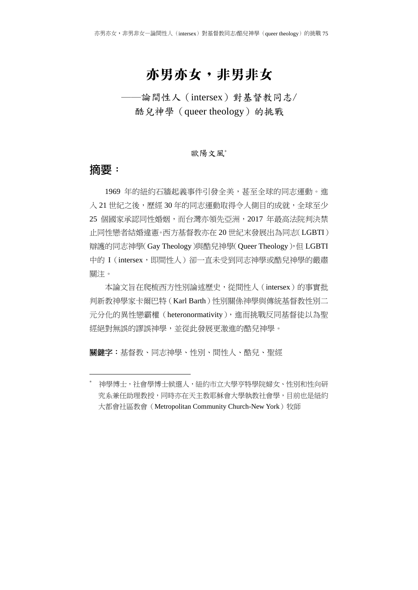# 亦男亦女,非男非女

――論間性人(intersex)對基督教同志/ 酷兒神學(queer theology)的挑戰

#### 歐陽文風<sup>∗</sup>

### **摘要:**

-

1969 年的紐約石牆起義事件引發全美,甚至全球的同志運動。進 入 21 世紀之後,歷經 30 年的同志運動取得令人側目的成就,全球至少 25 個國家承認同性婚姻,而台灣亦領先亞洲,2017 年最高法院判決禁 止同性戀者結婚違憲。西方基督教亦在 20 世紀末發展出為同志(LGBTI) 辯護的同志神學(Gay Theology)與酷兒神學(Queer Theology),但 LGBTI 中的 I (intersex, 即間性人) 卻一直未受到同志神學或酷兒神學的嚴肅 關注。

本論文旨在爬梳西方性別論述歷史,從間性人(intersex)的事實批 判新教神學家卡爾巴特(Karl Barth)性別關係神學與傳統基督教性別二 元分化的異性戀霸權 (heteronormativity), 進而挑戰反同基督徒以為聖 經絕對無誤的謬誤神學,並從此發展更激進的酷兒神學。

關鍵字:基督教、同志神學、性別、間性人、酷兒、聖經

<sup>∗</sup> 神學博士,社會學博士候選人,紐約市立大學亨特學院婦女、性別和性向研 究系兼任助理教授,同時亦在天主教耶穌會大學執教社會學,目前也是紐約 大都會社區教會 (Metropolitan Community Church-New York)牧師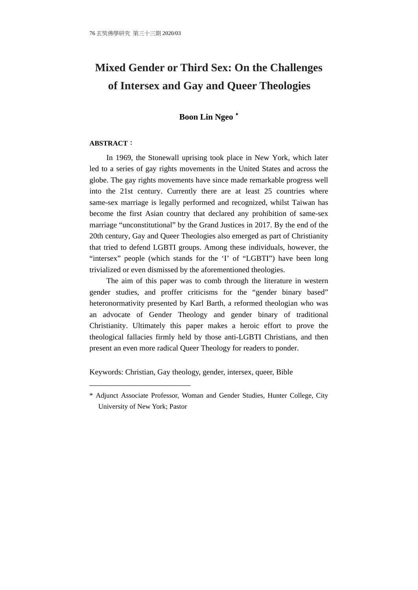# **Mixed Gender or Third Sex: On the Challenges of Intersex and Gay and Queer Theologies**

#### **Boon Lin Ngeo** ∗

#### **ABSTRACT**:

-

In 1969, the Stonewall uprising took place in New York, which later led to a series of gay rights movements in the United States and across the globe. The gay rights movements have since made remarkable progress well into the 21st century. Currently there are at least 25 countries where same-sex marriage is legally performed and recognized, whilst Taiwan has become the first Asian country that declared any prohibition of same-sex marriage "unconstitutional" by the Grand Justices in 2017. By the end of the 20th century, Gay and Queer Theologies also emerged as part of Christianity that tried to defend LGBTI groups. Among these individuals, however, the "intersex" people (which stands for the 'I' of "LGBTI") have been long trivialized or even dismissed by the aforementioned theologies.

The aim of this paper was to comb through the literature in western gender studies, and proffer criticisms for the "gender binary based" heteronormativity presented by Karl Barth, a reformed theologian who was an advocate of Gender Theology and gender binary of traditional Christianity. Ultimately this paper makes a heroic effort to prove the theological fallacies firmly held by those anti-LGBTI Christians, and then present an even more radical Queer Theology for readers to ponder.

Keywords: Christian, Gay theology, gender, intersex, queer, Bible

<sup>\*</sup> Adjunct Associate Professor, Woman and Gender Studies, Hunter College, City University of New York; Pastor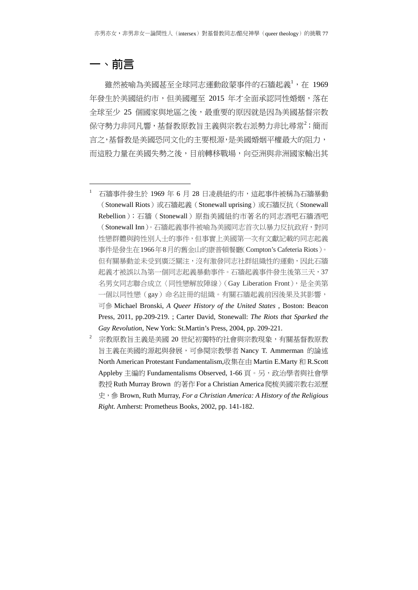## **一、前言**

1

雖然被喻為美國甚至全球同志運動啟蒙事件的石牆起義<sup>1</sup>,在 1969 年發生於美國紐約市,但美國遲至 2015 年才全面承認同性婚姻,落在 全球至少 25 個國家與地區之後,最重要的原因就是因為美國基督宗教 保守勢力非同凡響,基督教原教旨主義與宗教右派勢力非比尋常<sup>2</sup>;簡而 言之,基督教是美國恐同文化的主要根源,是美國婚姻平權最大的阻力, 而這股力量在美國失勢之後,目前轉移戰場,向亞洲與非洲國家輸出其

<sup>1</sup> 石牆事件發生於 1969 年 6 月 28 日凌晨紐約市,這起事件被稱為石牆暴動 (Stonewall Riots)或石牆起義(Stonewall uprising)或石牆反抗(Stonewall Rebellion);石牆(Stonewall)原指美國紐約市著名的同志酒吧石牆酒吧 (Stonewall Inn)。石牆起義事件被喻為美國同志首次以暴力反抗政府,對同 性戀群體與跨性別人士的事件,但事實上美國第一次有文獻記載的同志起義 事件是發生在1966年8月的舊金山的康普頓餐廳(Compton's Cafeteria Riots)。 但有關暴動並未受到廣泛關注,沒有激發同志社群組織性的運動,因此石牆 起義才被誤以為第一個同志起義暴動事件。石牆起義事件發生後第三天,37 名男女同志聯合成立〈同性戀解放陣線〉(Gay Liberation Front),是全美第 一個以同性戀(gay)命名註冊的組織。有關石牆起義前因後果及其影響, 可參 Michael Bronski, *A Queer History of the United States* , Boston: Beacon Press, 2011, pp.209-219. ; Carter David, Stonewall: *The Riots that Sparked the Gay Revolution*, New York: St.Martin's Press, 2004, pp. 209-221.

<sup>2</sup> 宗教原教旨主義是美國 20 世紀初獨特的社會與宗教現象,有關基督教原教 旨主義在美國的源起與發展,可參閱宗教學者 Nancy T. Ammerman 的論述 North American Protestant Fundamentalism,收集在由 Martin E.Marty 和 R.Scott Appleby 主編的 Fundamentalisms Observed, 1-66 頁。另,政治學者與社會學 教授Ruth Murray Brown 的著作For a Christian America爬梳美國宗教右派歷 史,參 Brown, Ruth Murray, *For a Christian America: A History of the Religious Right.* Amherst: Prometheus Books, 2002, pp. 141-182.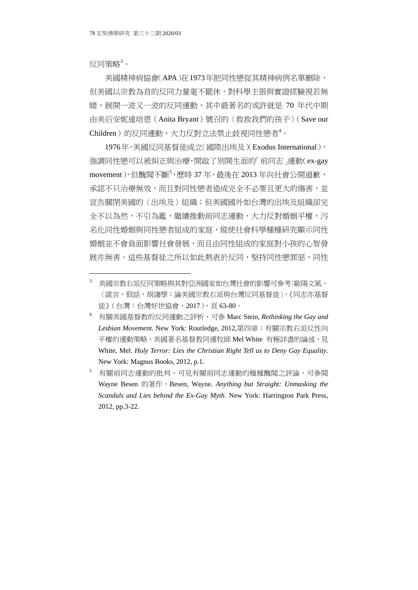反同策略 $3\, \circ$ 

-

美國精神病協會(APA)在1973年把同性戀從其精神病例名單刪除, 但美國以宗教為首的反同力量毫不罷休,對科學主張與實證經驗視若無 睹,展開一波又一波的反同運動,其中最著名的或許就是 70 年代中期 由美后安妮達培恩(Anita Bryant)號召的〈救救我們的孩子〉(Save our Children)的反同運動,大力反對立法禁止歧視同性戀者<sup>4</sup>。

1976年,美國反同基督徒成立〈國際出埃及〉(Exodus International), 強調同性戀可以被糾正與治療,開啟了別開生面的「前同志」運動(ex-gay movement),但醜聞不斷<sup>5</sup>,歷時 37 年,最後在 2013 年向社會公開道歉, 承認不只治療無效,而且對同性戀者造成完全不必要且更大的傷害,並 宣告關閉美國的〈出埃及〉組織;但美國國外如台灣的出埃及組織卻完 全不以為然,不引為鑑,繼續推動前同志運動,大力反對婚姻平權,污 名化同性婚姻與同性戀者組成的家庭,縱使社會科學種種研究顯示同性 婚姻並不會負面影響社會發展,而且由同性組成的家庭對小孩的心智發 展亦無害。這些基督徒之所以如此熱衷於反同,堅持同性戀罪惡,同性

<sup>3</sup> 美國宗教右派反同策略與其對亞洲國家如台灣社會的影響可參考:歐陽文風, 〈謊言,假話,胡謅學:論美國宗教右派與台灣反同基督徒〉,《同志亦基督 徒》(台灣:台灣好世協會,2017),頁 63-80。

<sup>4</sup> 有關美國基督教的反同運動之評析,可參 Marc Stein, *Rethinking the Gay and Lesbian Movement*. New York: Routledge, 2012,第四章;有關宗教右派反性向 平權的運動策略,美國著名基督教同運牧師 Mel White 有極詳盡的論述,見 White, Mel. *Holy Terror: Lies the Christian Right Tell us to Deny Gay Equality*. New York: Magnus Books, 2012, p.1.

<sup>5</sup> 有關前同志運動的批判,可見有關前同志運動的種種醜聞之評論,可參閱 Wayne Besen 的著作, Besen, Wayne. *Anything but Straight: Unmasking the Scandals and Lies behind the Ex-Gay Myth*. New York: Harrington Park Press, 2012, pp.3-22.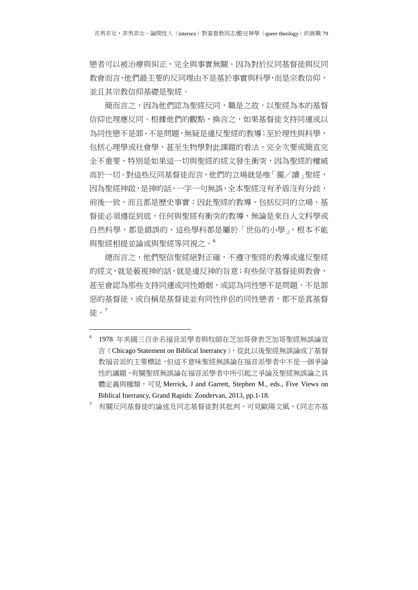戀者可以被治療與糾正,完全與事實無關。因為對於反同基督徒與反同 教會而言,他們最主要的反同理由不是基於事實與科學,而是宗教信仰, 並且其宗教信仰基礎是聖經。

簡而言之,因為他們認為聖經反同,職是之故,以聖經為本的基督 信仰也理應反同。根據他們的觀點,換言之,如果基督徒支持同運或以 為同性戀不是罪、不是問題,無疑是違反聖經的教導;至於理性與科學, 包括心理學或社會學,甚至生物學對此課題的看法,完全次要或簡直完 全不重要,特別是如果這一切與聖經的經文發生衝突,因為聖經的權威 高於一切。對這些反同基督徒而言,他們的立場就是唯「獨/讀」聖經, 因為聖經神啟,是神的話,一字一句無誤,全本聖經沒有矛盾沒有分歧, 前後一致,而且都是歷史事實;因此聖經的教導,包括反同的立場,基 督徒必須遵從到底,任何與聖經有衝突的教導,無論是來自人文科學或 自然科學,都是錯誤的,這些學科都是屬於「世俗的小學」,根本不能 與聖經相提並論或與聖經等同視之。<sup>6</sup>

總而言之,他們堅信聖經絕對正確,不遵守聖經的教導或違反聖經 的經文,就是藐視神的話,就是違反神的旨意;有些保守基督徒與教會, 甚至會認為那些支持同運或同性婚姻,或認為同性戀不是問題、不是罪 惡的基督徒,或自稱是基督徒並有同性伴侶的同性戀者,都不是真基督 徒。<sup>7</sup>

1

<sup>6</sup> 1978 年美國三百余名福音派學者與牧師在芝加哥發表芝加哥聖經無誤論宣 言(Chicago Statement on Biblical Inerrancy), 從此以後聖經無誤論成了基督 教福音派的主要標誌,但這不意味聖經無誤論在福音派學者中不是一個爭論 性的議題,有關聖經無誤論在福音派學者中所引起之爭論及聖經無誤論之具 體定義與種類,可見 Merrick, J and Garrett, Stephen M., eds., Five Views on Biblical Inerrancy, Grand Rapids: Zondervan, 2013, pp.1-18.

 $^{\rm 7}$  有關反同基督徒的論述及同志基督徒對其批判,可見歐陽文風,《同志亦基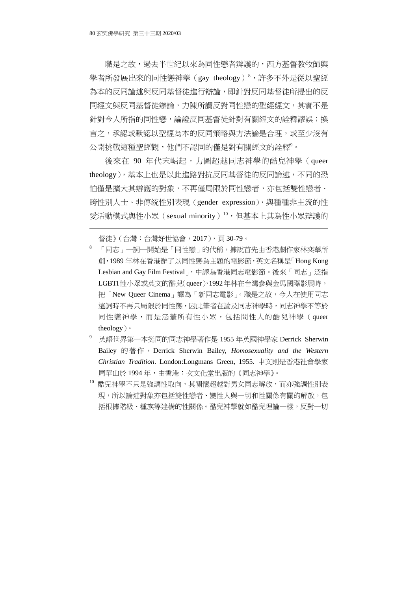職是之故,過去半世紀以來為同性戀者辯護的,西方基督教牧師與 學者所發展出來的同性戀神學(gay theology)<sup>8</sup>,許多不外是從以聖經 為本的反同論述與反同基督徒進行辯論,即針對反同基督徒所提出的反 同經文與反同基督徒辯論,力陳所謂反對同性戀的聖經經文,其實不是 針對今人所指的同性戀,論證反同基督徒針對有關經文的詮釋謬誤;換 言之,承認或默認以聖經為本的反同策略與方法論是合理,或至少沒有 公開挑戰這種聖經觀,他們不認同的僅是對有關經文的詮釋<sup>9</sup>。

後來在 90 年代末崛起,力圖超越同志神學的酷兒神學(queer theology),基本上也是以此進路對抗反同基督徒的反同論述,不同的恐 怕僅是擴大其辯護的對象,不再僅局限於同性戀者,亦包括雙性戀者、 跨性別人士、非傳統性別表現(gender expression),與種種非主流的性 愛活動模式與性小眾(sexual minority)<sup>10,</sup>但基本上其為性小眾辯護的

督徒》(台灣:台灣好世協會,2017),頁 30-79。

- <sup>8</sup> 「同志」一詞一開始是「同性戀」的代稱,據說首先由香港劇作家林奕華所 創,1989 年林在香港辦了以同性戀為主題的電影節,英文名稱是「Hong Kong Lesbian and Gay Film Festival |,中譯為香港同志電影節。後來「同志」泛指 LGBTI性小眾或英文的酷兒(queer),1992年林在台灣參與金馬國際影展時, 把「New Queer Cinema」譯為「新同志電影」。職是之故,今人在使用同志 這詞時不再只局限於同性戀,因此筆者在論及同志神學時,同志神學不等於 同性戀神學,而是涵蓋所有性小眾,包括間性人的酷兒神學(queer theology)。
- 9 英語世界第一本挺同的同志神學著作是 1955 年英國神學家 Derrick Sherwin Bailey 的著作, Derrick Sherwin Bailey, *Homosexuality and the Western Christian Tradition*. London:Longmans Green, 1955. 中文則是香港社會學家 周華山於 1994年,由香港:次文化堂出版的《同志神學》。
- $^{10}$  酷兒神學不只是強調性取向,其關懷超越對男女同志解放,而亦強調性別表 現,所以論述對象亦包括雙性戀者、變性人與一切和性關係有關的解放,包 括根據階級、種族等建構的性關係。酷兒神學就如酷兒理論一樣,反對一切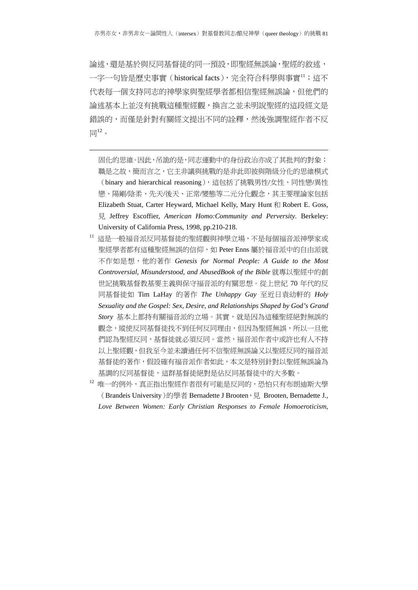論述,還是基於與反同基督徒的同一預設,即聖經無誤論,聖經的敘述, 一字一句皆是歷史事實 (historical facts), 完全符合科學與事實11; 這不 代表每一個支持同志的神學家與聖經學者都相信聖經無誤論,但他們的 論述基本上並沒有挑戰這種聖經觀,換言之並未明說聖經的這段經文是 錯誤的,而僅是針對有關經文提出不同的詮釋,然後強調聖經作者不反  $\overline{\boxplus}^{12}$ 。

1

固化的思維。因此,吊詭的是,同志運動中的身份政治亦成了其批判的對象; 職是之故,簡而言之,它主非議與挑戰的是非此即彼與階級分化的思維模式 (binary and hierarchical reasoning),這包括了挑戰男性/女性、同性戀/異性 戀、陽剛/陰柔、先天/後天、正常/變態等二元分化觀念,其主要理論家包括 Elizabeth Stuat, Carter Heyward, Michael Kelly, Mary Hunt 和 Robert E. Goss, 見 Jeffrey Escoffier, *American Homo:Community and Perversity*. Berkeley: University of California Press, 1998, pp.210-218.

- <sup>11</sup> 這是一般福音派反同基督徒的聖經觀與神學立場,不是每個福音派神學家或 聖經學者都有這種聖經無誤的信仰,如 Peter Enns 屬於福音派中的自由派就 不作如是想,他的著作 *Genesis for Normal People: A Guide to the Most Controversial, Misunderstood, and AbusedBook of the Bible* 就專以聖經中的創 世記挑戰基督教基要主義與保守福音派的有關思想。從上世紀 70 年代的反 同基督徒如 Tim LaHay 的著作 *The Unhappy Gay* 至近日袁幼軒的 *Holy Sexuality and the Gospel: Sex, Desire, and Relationships Shaped by God's Grand Story* 基本上都持有關福音派的立場。其實,就是因為這種聖經絕對無誤的 觀念,縱使反同基督徒找不到任何反同理由,但因為聖經無誤,所以一旦他 們認為聖經反同,基督徒就必須反同。當然,福音派作者中或許也有人不持 以上聖經觀,但我至今並未讀過任何不信聖經無誤論又以聖經反同的福音派 基督徒的著作,假設確有福音派作者如此,本文是特別針對以聖經無誤論為 基調的反同基督徒,這群基督徒絕對是佔反同基督徒中的大多數。
- 12 唯一的例外,真正指出聖經作者很有可能是反同的,恐怕只有布朗迪斯大學 (Brandeis University)的學者 Bernadette J Brooten, <sup>見</sup> Brooten, Bernadette J., *Love Between Women: Early Christian Responses to Female Homoeroticism*,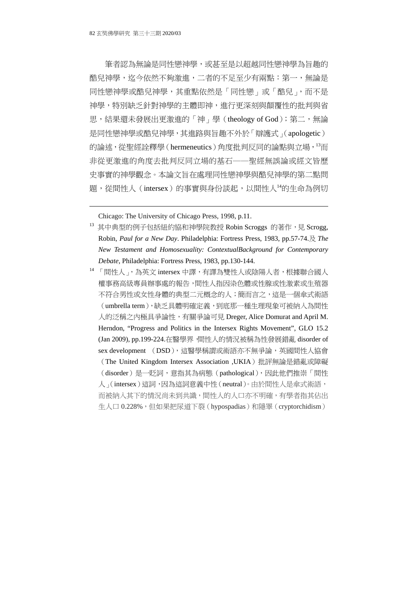筆者認為無論是同性戀神學,或甚至是以超越同性戀神學為旨趣的 酷兒神學, 迄今依然不夠激進, 二者的不足至少有兩點: 第一, 無論是 同性戀神學或酷兒神學,其重點依然是「同性戀」或「酷兒」,而不是 神學,特別缺乏針對神學的主體即神,進行更深刻與顛覆性的批判與省 思,結果還未發展出更激進的「神」學(theology of God);第二,無論 是同性戀神學或酷兒神學,其進路與旨趣不外於「辯護式」(apologetic) 的論述,從聖經詮釋學 (hermeneutics) 角度批判反同的論點與立場, <sup>13</sup>而 非從更激進的角度去批判反同立場的基石──聖經無誤論或經文皆歷 史事實的神學觀念。本論文旨在處理同性戀神學與酷兒神學的第二點問 題, 從間性人(intersex)的事實與身份談起, 以間性人<sup>14</sup>的生命為例切

Chicago: The University of Chicago Press, 1998, p.11.

<sup>13</sup> 其中典型的例子包括紐約協和神學院教授 Robin Scroggs 的著作,見 Scrogg, Robin*, Paul for a New Day*. Philadelphia: Fortress Press, 1983, pp.57-74.及 *The New Testament and Homosexuality: ContextualBackground for Contemporary Debate*, Philadelphia: Fortress Press, 1983, pp.130-144.

<sup>14 「</sup>間性人」,為英文 intersex 中譯,有譯為雙性人或陰陽人者,根據聯合國人 權事務高級專員辦事處的報告,間性人指因染色體或性腺或性激素或生殖器 不符合男性或女性身體的典型二元概念的人;簡而言之,這是一個傘式術語 (umbrella term),缺乏具體明確定義,到底那一種生理現象可被納入為間性 人的泛稱之內極具爭論性,有關爭論可見 Dreger, Alice Domurat and April M. Herndon, "Progress and Politics in the Intersex Rights Movement", GLO 15.2 (Jan 2009), pp.199-224.在醫學界,間性人的情況被稱為性發展錯亂 disorder of sex development (DSD),這醫學稱謂或術語亦不無爭論,英國間性人協會 (The United Kingdom Intersex Association ,UKIA)批評無論是錯亂或障礙 (disorder)是一貶詞,意指其為病態(pathological),因此他們推崇「間性 人」(intersex)這詞,因為這詞意義中性(neutral)。由於間性人是傘式術語, 而被納入其下的情況尚未到共識,間性人的人口亦不明確,有學者指其佔出 生人口 0.228%,但如果把尿道下裂 (hypospadias)和隱睪 (cryptorchidism)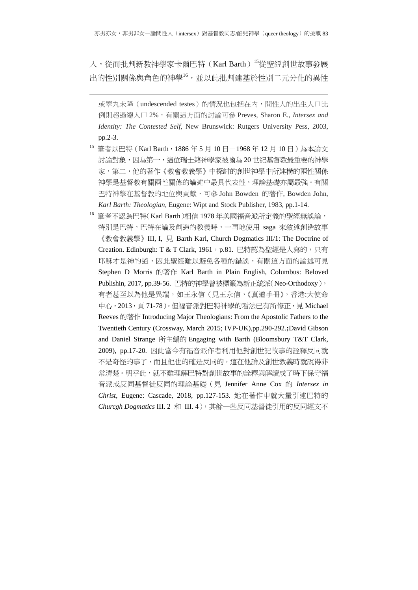入,從而批判新教神學家卡爾巴特(Karl Barth)<sup>15</sup>從聖經創世故事發展 出的性別關係與角色的神學<sup>16</sup>,並以此批判建基於性別二元分化的異性

-

或睪丸未降(undescended testes)的情況也包括在内,間性人的出生人口比 例則超過總人口 2%,有關這方面的討論可參 Preves, Sharon E., *Intersex and Identity: The Contested Self*, New Brunswick: Rutgers University Pess, 2003, pp.2-3.

- 15 筆者以巴特 (Karl Barth, 1886年5月 10日-1968年12月 10日)為本論文 討論對象,因為第一,這位瑞士籍神學家被喻為 20 世紀基督教最重要的神學 家,第二,他的著作《教會教義學》中探討的創世神學中所建構的兩性關係 神學是基督教有關兩性關係的論述中最具代表性,理論基礎亦屬最強。有關 巴特神學在基督教的地位與貢獻,可參 John Bowden 的著作, Bowden John, *Karl Barth: Theologian*, Eugene: Wipt and Stock Publisher, 1983, pp.1-14.
- <sup>16</sup> 筆者不認為巴特(Karl Barth)相信 1978 年美國福音派所定義的聖經無誤論, 特別是巴特,巴特在論及創造的教義時,一再地使用 saga 來敘述創造故事 《教會教義學》III, I, 見 Barth Karl, Church Dogmatics III/1: The Doctrine of Creation. Edinburgh: T & T Clark, 1961, p.81. 巴特認為聖經是人寫的,只有 耶穌才是神的道,因此聖經難以避免各種的錯誤,有關這方面的論述可見 Stephen D Morris 的著作 Karl Barth in Plain English, Columbus: Beloved Publishin, 2017, pp.39-56. 巴特的神學曾被標籤為新正統派(Neo-Orthodoxy), 有者甚至以為他是異端,如王永信(見王永信,《真道手冊》,香港:大使命 中心,2013, 頁 71-78)。但福音派對巴特神學的看法已有所修正, 見 Michael Reeves 的著作 Introducing Major Theologians: From the Apostolic Fathers to the Twentieth Century (Crossway, March 2015; IVP-UK),pp.290-292.**;**David Gibson and Daniel Strange 所主編的 Engaging with Barth (Bloomsbury T&T Clark, 2009), pp.17-20. 因此當今有福音派作者利用他對創世記故事的詮釋反同就 不是奇怪的事了,而且他也的確是反同的,這在他論及創世教義時就說得非 常清楚。明乎此,就不難理解巴特對創世故事的詮釋與解讀成了時下保守福 音派或反同基督徒反同的理論基礎(見 Jennifer Anne Cox 的 *Intersex in Christ,* Eugene: Cascade, 2018, pp.127-153. 她在著作中就大量引述巴特的 *Churcgh Dogmatics* III. 2 和 III. 4),其餘一些反同基督徒引用的反同經文不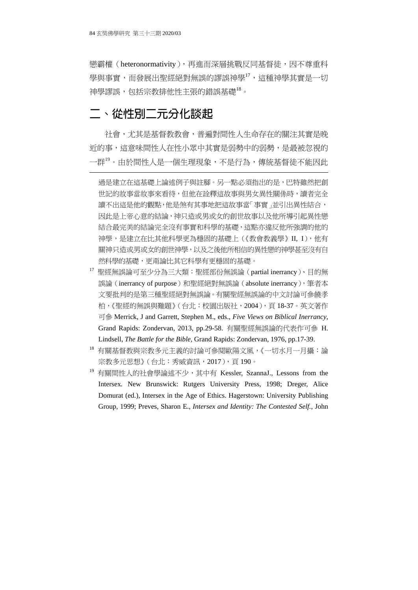戀霸權(heteronormativity),再進而深層挑戰反同基督徒,因不尊重科 學與事實,而發展出聖經絕對無誤的謬誤神學<sup>17</sup>,這種神學其實是一切 神學謬誤,包括宗教排他性主張的錯誤基礎<sup>18</sup>。

## **二、從性別二元分化談起**

-

社會,尤其是基督教教會,普遍對間性人生命存在的關注其實是晚 近的事,這意味間性人在性小眾中其實是弱勢中的弱勢,是最被忽視的 一群<sup>19</sup>。由於間性人是一個生理現象,不是行為,傳統基督徒不能因此

過是建立在這基礎上論述例子與註腳。另一點必須指出的是,巴特雖然把創 世記的故事當故事來看待,但他在詮釋這故事與男女異性關係時,讀者完全 讀不出這是他的觀點,他是煞有其事地把這故事當「事實」並引出異性結合, 因此是上帝心意的結論,神只造或男或女的創世故事以及他所導引起異性戀 結合最完美的結論完全沒有事實和科學的基礎,這點亦違反他所強調的他的 神學,是建立在比其他科學更為穩固的基礎上(《教會教義學》II, I),他有 關神只造或男或女的創世神學,以及之後他所相信的異性戀的神學甚至沒有自 然科學的基礎,更甭論比其它科學有更穩固的基礎。

- $17$  聖經無誤論可至少分為三大類: 聖經部份無誤論 (partial inerrancy)、目的無 誤論(inerrancy of purpose)和聖經絕對無誤論(absolute inerrancy), 筆者本 文要批判的是第三種聖經絕對無誤論。有關聖經無誤論的中文討論可參饒孝 柏,《聖經的無誤與難題》(台北:校園出版社,2004),頁 18-37。英文著作 可參 Merrick, J and Garrett, Stephen M., eds., *Five Views on Biblical Inerrancy*, Grand Rapids: Zondervan, 2013, pp.29-58. 有關聖經無誤論的代表作可參 H. Lindsell, *The Battle for the Bible*, Grand Rapids: Zondervan, 1976, pp.17-39.
- <sup>18</sup> 有關基督教與宗教多元主義的討論可參閱歐陽文風,《一切水月一月攝:論 宗教多元思想》(台北:秀威資訊,2017),頁190。
- <sup>19</sup> 有關間性人的社會學論述不少,其中有 Kessler, SzannaJ., Lessons from the Intersex*.* New Brunswick: Rutgers University Press, 1998; Dreger, Alice Domurat (ed.), Intersex in the Age of Ethics. Hagerstown: University Publishing Group, 1999; Preves, Sharon E., *Intersex and Identity: The Contested Self.*, John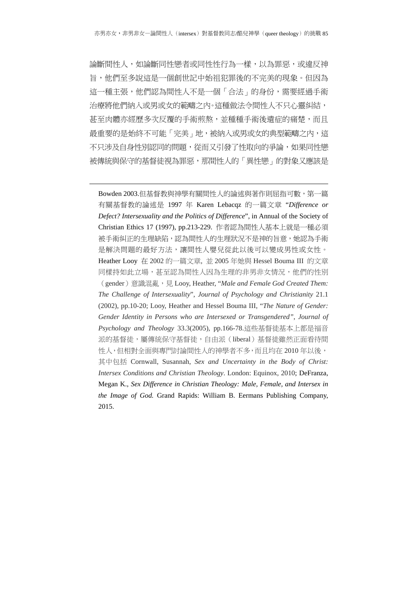論斷間性人,如論斷同性戀者或同性性行為一樣,以為罪惡,或違反神 旨,他們至多說這是一個創世記中始祖犯罪後的不完美的現象。但因為 這一種主張,他們認為間性人不是一個「合法」的身份,需要經過手術 治療將他們納入或男或女的範疇之內。這種做法令間性人不只心靈糾結, 甚至肉體亦經歷多次反覆的手術煎熬,並種種手術後遺症的痛楚,而且 最重要的是始終不可能「完美」地,被納入或男或女的典型範疇之内,這 不只涉及自身性別認同的問題,從而又引發了性取向的爭論,如果同性戀 被傳統與保守的基督徒視為罪惡,那間性人的「異性戀」的對象又應該是

1

Bowden 2003.但基督教與神學有關間性人的論述與著作則屈指可數,第一篇 有關基督教的論述是 1997 年 Karen Lebacqz 的一篇文章 "*Difference or Defect? Intersexuality and the Politics of Difference*", in Annual of the Society of Christian Ethics 17 (1997), pp.213-229. 作者認為間性人基本上就是一種必須 被手術糾正的生理缺陷,認為間性人的生理狀況不是神的旨意,她認為手術 是解決問題的最好方法,讓間性人嬰兒從此以後可以變成男性或女性。 Heather Looy 在 2002 的一篇文章, 並 2005 年她與 Hessel Bouma III 的文章 同樣持如此立場,甚至認為間性人因為生理的非男非女情況,他們的性別 (gender)意識混亂,見 Looy, Heather, "*Male and Female God Created Them: The Challenge of Intersexuality*", *Journal of Psychology and Christianity* 21.1 (2002), pp.10-20; Looy, Heather and Hessel Bouma III, "*The Nature of Gender: Gender Identity in Persons who are Intersexed or Transgendered"*, *Journal of Psychology and Theology* 33.3(2005), pp.166-78.這些基督徒基本上都是福音 派的基督徒,屬傳統保守基督徒,自由派(liberal)基督徒雖然正面看待間 性人,但相對全面與專門討論間性人的神學者不多,而且均在 2010年以後, 其中包括 Cornwall, Susannah, *Sex and Uncertainty in the Body of Christ: Intersex Conditions and Christian Theology*. London: Equinox, 2010; DeFranza, Megan K., *Sex Difference in Christian Theology: Male, Female, and Intersex in the Image of God.* Grand Rapids: William B. Eermans Publishing Company, 2015.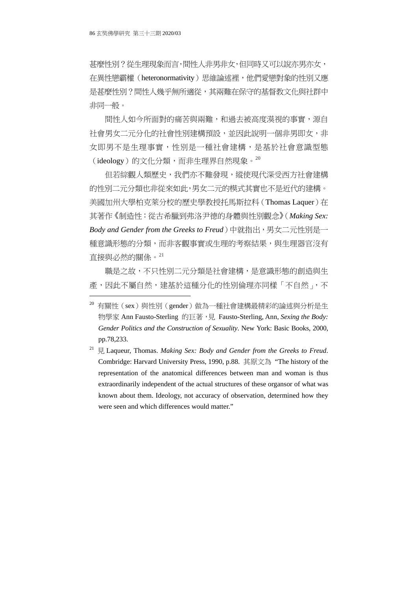甚麼性別?從生理現象而言,間性人非男非女,但同時又可以說亦男亦女, 在異性戀霸權(heteronormativity)思維論述裡,他們愛戀對象的性別又應 是甚麼性別?間性人幾乎無所適從,其兩難在保守的基督教文化與社群中 非同一般。

間性人如今所面對的痛苦與兩難,和過去被高度漠視的事實,源自 社會男女二元分化的社會性別建構預設,並因此說明一個非男即女,非 女即男不是生理事實,性別是一種社會建構,是基於社會意識型態  $(i$ deology)的文化分類,而非生理界自然現象。 $^{20}$ 

但若綜觀人類歷史,我們亦不難發現,縱使現代深受西方社會建構 的性別二元分類也非從來如此,男女二元的模式其實也不是近代的建構。 美國加州大學柏克萊分校的歷史學教授托馬斯拉科(Thomas Laquer)在 其著作《制造性:從古希臘到弗洛尹德的身體與性別觀念》(*Making Sex: Body and Gender from the Greeks to Freud*)中就指出,男女二元性別是一 種意識形態的分類,而非客觀事實或生理的考察結果,與生理器官沒有 直接與必然的關係。<sup>21</sup>

職是之故,不只性別二元分類是社會建構,是意識形態的創造與生 產,因此不屬自然,建基於這種分化的性別倫理亦同樣「不自然」,不

<sup>20</sup> 有關性(sex)與性別(gender)做為一種社會建構最精彩的論述與分析是生 物學家 Ann Fausto-Sterling 的巨著,見 Fausto-Sterling, Ann, *Sexing the Body: Gender Politics and the Construction of Sexuality*. New York: Basic Books, 2000, pp.78,233.

<sup>21</sup> 見 Laqueur, Thomas. *Making Sex: Body and Gender from the Greeks to Freud*. Combridge: Harvard University Press, 1990, p.88. 其原文為 "The history of the representation of the anatomical differences between man and woman is thus extraordinarily independent of the actual structures of these organsor of what was known about them. Ideology, not accuracy of observation, determined how they were seen and which differences would matter."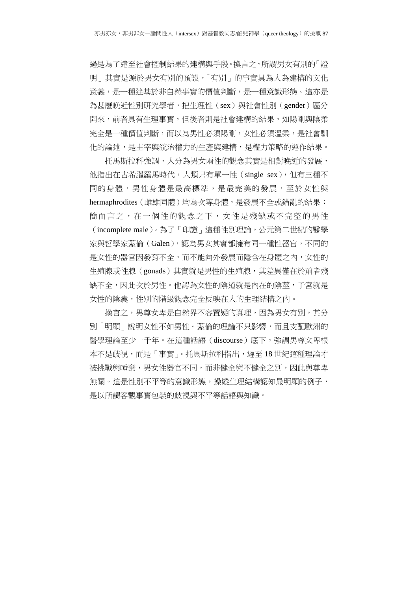過是為了達至社會控制結果的建構與手段。換言之,所謂男女有別的「證 明」其實是源於男女有別的預設,「有別」的事實具為人為建構的文化 意義,是一種建基於非自然事實的價值判斷,是一種意識形態。這亦是 為甚麼晚近性別研究學者,把生理性(sex)與社會性別(gender)區分 開來,前者具有生理事實,但後者則是社會建構的結果,如陽剛與陰柔 完全是一種價值判斷,而以為男性必須陽剛,女性必須溫柔,是社會馴 化的論述,是主宰與統治權力的生產與建構,是權力策略的運作結果。

托馬斯拉科強調,人分為男女兩性的觀念其實是相對晚近的發展, 他指出在古希臘羅馬時代,人類只有單一性(single sex),但有三種不 同的身體,男性身體是最高標準,是最完美的發展,至於女性與 hermaphrodites (雌雄同體)均為次等身體,是發展不全或錯亂的結果; 簡而言之,在一個性的觀念之下,女性是殘缺或不完整的男性 (incomplete male)。為了「印證」這種性別理論,公元第二世紀的醫學 家與哲學家蓋倫(Galen),認為男女其實都擁有同一種性器官,不同的 是女性的器官因發育不全,而不能向外發展而隱含在身體之內,女性的 生殖腺或性腺(gonads)其實就是男性的生殖腺,其差異僅在於前者殘 缺不全,因此次於男性。他認為女性的陰道就是內在的陰莖,子宮就是 女性的陰囊,性別的階級觀念完全反映在人的生理結構之內。

換言之,男尊女卑是自然界不容置疑的真理,因為男女有別,其分 別「明顯」說明女性不如男性。蓋倫的理論不只影響,而且支配歐洲的 醫學理論至少一千年。在這種話語(discourse)底下,強調男尊女卑根 本不是歧視,而是「事實」。托馬斯拉科指出,遲至18世紀這種理論才 被挑戰與唾棄,男女性器官不同,而非健全與不健全之別,因此與尊卑 無關。這是性別不平等的意識形態,操縱生理結構認知最明顯的例子, 是以所謂客觀事實包裝的歧視與不平等話語與知識。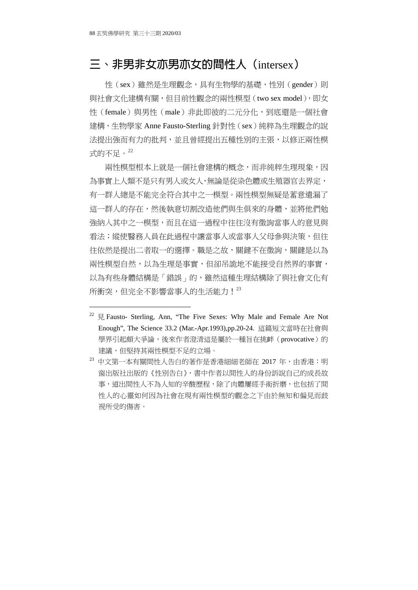## **三、非男非女亦男亦女的間性人(**intersex**)**

性(sex)雖然是生理觀念,具有生物學的基礎,性別(gender)則 與社會文化建構有關,但目前性觀念的兩性模型(two sex model),即女 性(female)與男性(male)非此即彼的二元分化,到底還是一個社會 建構,生物學家 Anne Fausto-Sterling 針對性(sex)純粹為生理觀念的說 法提出強而有力的批判,並且曾經提出五種性別的主張,以修正兩性模 式的不足。<sup>22</sup>

兩性模型根本上就是一個社會建構的概念,而非純粹生理現象,因 為事實上人類不是只有男人或女人,無論是從染色體或生殖器官去界定, 有一群人總是不能完全符合其中之一模型。兩性模型無疑是蓄意遺漏了 這一群人的存在,然後執意切割改造他們與生俱來的身體,並將他們勉 強納入其中之一模型,而且在這一過程中往往沒有徵詢當事人的意見與 看法;縱使醫務人員在此過程中讓當事人或當事人父母參與決策,但往 往依然是提出二者取一的選擇。職是之故,關鍵不在徵詢,關鍵是以為 兩性模型自然,以為生理是事實,但卻吊詭地不能接受自然界的事實, 以為有些身體結構是「錯誤」的,雖然這種生理結構除了與社會文化有 所衝突,但完全不影響當事人的生活能力!  $^{23}$ 

<sup>&</sup>lt;sup>22</sup> 見 Fausto- Sterling, Ann, "The Five Sexes: Why Male and Female Are Not Enough", The Science 33.2 (Mar.-Apr.1993),pp.20-24. 這篇短文當時在社會與 學界引起頗大爭論,後來作者澄清這是屬於一種旨在挑衅(provocative)的 建議,但堅持其兩性模型不足的立場。

<sup>&</sup>lt;sup>23</sup> 中文第一本有關間性人告白的著作是香港細細老師在 2017 年,由香港:明 窗出版社出版的《性別告白》,書中作者以間性人的身份訴說自己的成長故 事,道出間性人不為人知的辛酸歷程,除了肉體屢經手術折磨,也包括了間 性人的心靈如何因為社會在現有兩性模型的觀念之下由於無知和偏見而歧 視所受的傷害。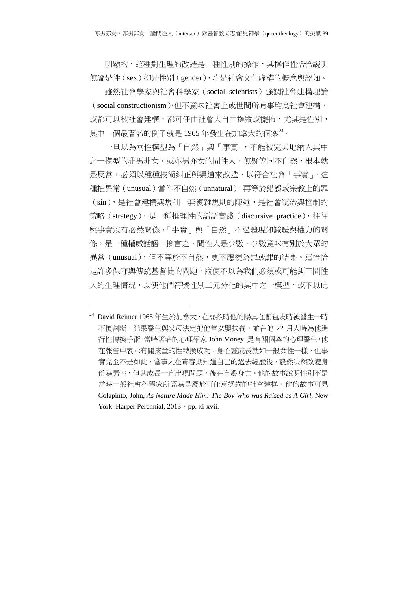明顯的,這種對生理的改造是一種性別的操作,其操作性恰恰說明 無論是性(sex)抑是性別(gender),均是社會文化虛構的概念與認知。

雖然社會學家與社會科學家(social scientists)強調社會建構理論 (social constructionism),但不意味社會上或世間所有事均為社會建構, 或都可以被社會建構,都可任由社會人自由操縱或擺佈,尤其是性別, 其中一個最著名的例子就是 1965 年發生在加拿大的個案<sup>24</sup>。

一旦以為兩性模型為「自然」與「事實」,不能被完美地納入其中 之一模型的非男非女,或亦男亦女的間性人,無疑等同不自然,根本就 是反常, 必須以種種技術糾正與渠道來改造, 以符合社會「事實」。這 種把異常(unusual)當作不自然(unnatural),再等於錯誤或宗教上的罪 (sin),是社會建構與規訓一套複雜規則的陳述,是社會統治與控制的 策略(strategy),是一種推理性的話語實踐(discursive practice),往往 與事實沒有必然關係,「事實」與「自然」不過體現知識體與權力的關 係,是一種權威話語。換言之,間性人是少數,少數意味有別於大眾的 異常(unusual),但不等於不自然,更不應視為罪或罪的結果。這恰恰 是許多保守與傳統基督徒的問題,縱使不以為我們必須或可能糾正間性 人的生理情況,以使他們符號性別二元分化的其中之一模型,或不以此

-

<sup>&</sup>lt;sup>24</sup> David Reimer 1965 年生於加拿大, 在嬰孩時他的陽具在割包皮時被醫生一時 不慎割斷,結果醫生與父母決定把他當女嬰扶養,並在他 22 月大時為他進 行性轉換手術 當時著名的心理學家 John Money 是有關個案的心理醫生,他 在報告中表示有關孩童的性轉換成功,身心靈成長就如一般女性一樣,但事 實完全不是如此,當事人在青春期知道自己的過去經歷後,毅然決然改變身 份為男性,但其成長一直出現問題,後在自殺身亡。他的故事說明性別不是 當時一般社會科學家所認為是屬於可任意操縱的社會建構。他的故事可見 Colapinto, John, *As Nature Made Him: The Boy Who was Raised as A Girl*, New York: Harper Perennial, 2013, pp. xi-xvii.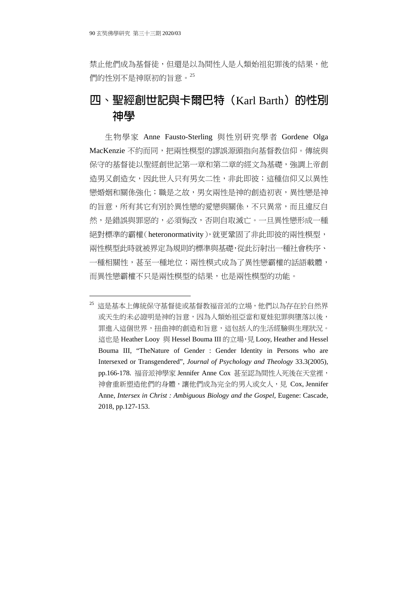禁止他們成為基督徒,但還是以為間性人是人類始祖犯罪後的結果,他 們的性別不是神原初的旨意。<sup>25</sup>

# **四、聖經創世記與卡爾巴特(**Karl Barth**)的性別 神學**

生物學家 Anne Fausto-Sterling 與性別研究學者 Gordene Olga MacKenzie 不約而同,把兩性模型的謬誤源頭指向基督教信仰。傳統與 保守的基督徒以聖經創世記第一章和第二章的經文為基礎,強調上帝創 造男又創造女,因此世人只有男女二性,非此即彼;這種信仰又以異性 戀婚姻和關係強化;職是之故,男女兩性是神的創造初衷,異性戀是神 的旨意,所有其它有別於異性戀的愛戀與關係,不只異常,而且違反自 然,是錯誤與罪惡的,必須悔改,否則自取滅亡。一旦異性戀形成一種 絕對標準的霸權(heteronormativity),就更鞏固了非此即彼的兩性模型, 兩性模型此時就被界定為規則的標準與基礎,從此衍射出一種社會秩序、 一種相關性,甚至一種地位;兩性模式成為了異性戀霸權的話語載體, 而異性戀霸權不只是兩性模型的結果,也是兩性模型的功能。

<sup>25</sup> 這是基本上傳統保守基督徒或基督教福音派的立場,他們以為存在於自然界 或天生的未必證明是神的旨意,因為人類始祖亞當和夏娃犯罪與墮落以後, 罪進入這個世界,扭曲神的創造和旨意,這包括人的生活經驗與生理狀況。 這也是 Heather Looy 與 Hessel Bouma III 的立場, 見 Looy, Heather and Hessel Bouma III, "TheNature of Gender : Gender Identity in Persons who are Intersexed or Transgendered", *Journal of Psychology and Theology* 33.3(2005), pp.166-178. 福音派神學家 Jennifer Anne Cox 甚至認為間性人死後在天堂裡, 神會重新塑造他們的身體,讓他們成為完全的男人或女人,見 Cox, Jennifer Anne, *Intersex in Christ : Ambiguous Biology and the Gospel,* Eugene: Cascade, 2018, pp.127-153.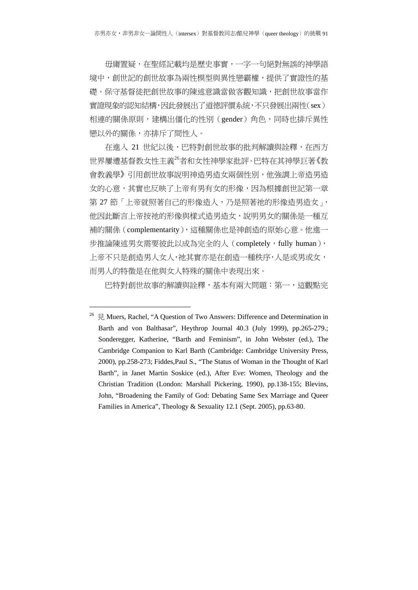毋庸置疑,在聖經記載均是歷史事實,一字一句絕對無誤的神學語 境中,創世記的創世故事為兩性模型與異性戀霸權,提供了實證性的基 礎。保守基督徒把創世故事的陳述意識當做客觀知識,把創世故事當作 實證現象的認知結構,因此發展出了道德評價系統,不只發展出兩性(sex) 相連的關係原則,建構出僵化的性別(gender)角色,同時也排斥異性 戀以外的關係,亦排斥了間性人。

在進入 21 世紀以後,巴特對創世故事的批判解讀與詮釋,在西方 世界屢遭基督教女性主義<sup>26</sup>者和女性神學家批評。巴特在其神學巨著《教 會教義學》引用創世故事說明神造男造女兩個性別,他強調上帝造男造 女的心意,其實也反映了上帝有男有女的形像,因為根據創世記第一章 第 27 節 「上帝就照著自己的形像造人,乃是照著祂的形像造男造女」, 他因此斷言上帝按祂的形像與樣式造男造女,說明男女的關係是一種互 補的關係(complementarity),這種關係也是神創造的原始心意。他進一 步推論陳述男女需要彼此以成為完全的人(completely, fully human), 上帝不只是創造男人女人,祂其實亦是在創造一種秩序,人是或男或女, 而男人的特徵是在他與女人特殊的關係中表現出來。

巴特對創世故事的解讀與詮釋,基本有兩大問題:第一,這觀點完

-

<sup>&</sup>lt;sup>26</sup> 見 Muers, Rachel, "A Question of Two Answers: Difference and Determination in Barth and von Balthasar", Heythrop Journal 40.3 (July 1999), pp.265-279.; Sonderegger, Katherine, "Barth and Feminism", in John Webster (ed.), The Cambridge Companion to Karl Barth (Cambridge: Cambridge University Press, 2000), pp.258-273; Fiddes,Paul S., "The Status of Woman in the Thought of Karl Barth", in Janet Martin Soskice (ed.), After Eve: Women, Theology and the Christian Tradition (London: Marshall Pickering, 1990), pp.138-155; Blevins, John, "Broadening the Family of God: Debating Same Sex Marriage and Queer Families in America", Theology & Sexuality 12.1 (Sept. 2005), pp.63-80.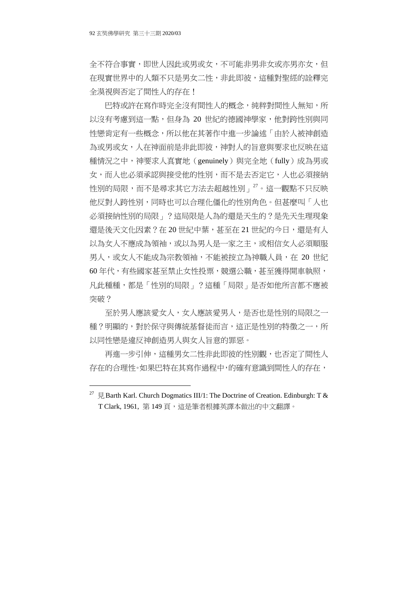全不符合事實,即世人因此或男或女,不可能非男非女或亦男亦女,但 在現實世界中的人類不只是男女二性,非此即彼,這種對聖經的詮釋完 全漠視與否定了間性人的存在!

巴特或許在寫作時完全沒有間性人的概念,純粹對間性人無知,所 以沒有考慮到這一點, 但身為 20 世紀的德國神學家, 他對跨性別與同 性戀肯定有一些概念,所以他在其著作中進一步論述「由於人被神創造 為或男或女,人在神面前是非此即彼,神對人的旨意與要求也反映在這 種情況之中,神要求人真實地(genuinely)與完全地(fully)成為男或 女,而人也必須承認與接受他的性別,而不是去否定它,人也必須接納 性別的局限,而不是尋求其它方法去超越性別」<sup>27</sup>。這一觀點不只反映 他反對人跨性別,同時也可以合理化僵化的性別角色。但甚麼叫「人也 必須接納性別的局限」?這局限是人為的還是天生的?是先天生理現象 還是後天文化因素?在 20 世紀中葉,甚至在 21 世紀的今日,還是有人 以為女人不應成為領袖,或以為男人是一家之主,或相信女人必須順服 男人,或女人不能成為宗教領袖,不能被按立為神職人員,在 20 世紀 60 年代,有些國家甚至禁止女性投票,競選公職,甚至獲得開車執照, 凡此種種,都是「性別的局限」?這種「局限」是否如他所言都不應被 突破?

至於男人應該愛女人,女人應該愛男人,是否也是性別的局限之一 種?明顯的,對於保守與傳統基督徒而言,這正是性別的特徵之一,所 以同性戀是違反神創造男人與女人旨意的罪惡。

再進一步引伸,這種男女二性非此即彼的性別觀,也否定了間性人 存在的合理性。如果巴特在其寫作過程中,的確有意識到間性人的存在,

<sup>&</sup>lt;sup>27</sup>  $\boxplus$  Barth Karl. Church Dogmatics III/1: The Doctrine of Creation. Edinburgh: T & T Clark, 1961, 第 149 百, 這是筆者根據英譯本做出的中文翻譯。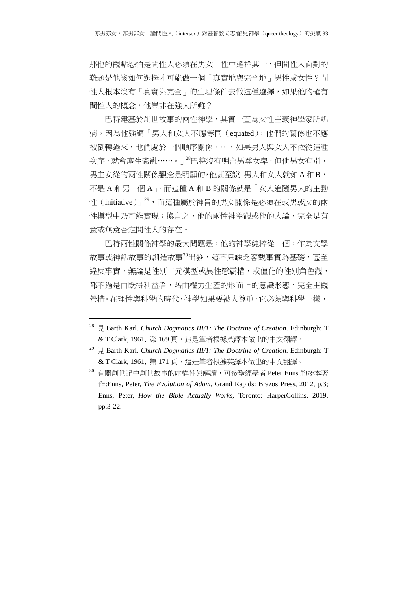那他的觀點恐怕是間性人必須在男女二性中選擇其一,但間性人面對的 難題是他該如何選擇才可能做一個「真實地與完全地」男性或女性?間 性人根本沒有「真實與完全」的生理條件去做這種選擇,如果他的確有 間性人的概念,他豈非在強人所難?

巴特建基於創世故事的兩性神學,其實一直為女性主義神學家所詬 病,因為他強調「男人和女人不應等同(equated),他們的關係也不應 被倒轉過來,他們處於一個順序關係……,如果男人與女人不依從這種 次序,就會產生紊亂……。」<sup>28</sup>巴特沒有明言男尊女卑,但他男女有別, 男主女從的兩性關係觀念是明顯的,他甚至說「男人和女人就如 A 和 B, 不是 A 和另一個 A」,而這種 A 和 B 的關係就是「女人追隨男人的主動 性(initiative)」<sup>29,</sup>而這種屬於神旨的男女關係是必須在或男或女的兩 性模型中乃可能實現;換言之,他的兩性神學觀或他的人論,完全是有 意或無意否定間性人的存在。

巴特兩性關係神學的最大問題是,他的神學純粹從一個,作為文學 故事或神話故事的創造故事30出發,這不只缺乏客觀事實為基礎,甚至 違反事實,無論是性別二元模型或異性戀霸權,或僵化的性別角色觀, 都不過是由既得利益者,藉由權力生產的形而上的意識形態,完全主觀 營構。在理性與科學的時代,神學如果要被人尊重,它必須與科學一樣,

-

<sup>28</sup> 見 Barth Karl. *Church Dogmatics III/1: The Doctrine of Creation*. Edinburgh: T & T Clark, 1961, 第 169 頁, 這是筆者根據英譯本做出的中文翻譯。

<sup>29</sup> 見 Barth Karl. *Church Dogmatics III/1: The Doctrine of Creation*. Edinburgh: T & T Clark, 1961, 第 171 頁, 這是筆者根據英譯本做出的中文翻譯。

<sup>30</sup> 有關創世記中創世故事的虛構性與解讀,可參聖經學者 Peter Enns 的多本著 作:Enns, Peter, *The Evolution of Adam*, Grand Rapids: Brazos Press, 2012, p.3; Enns, Peter, *How the Bible Actually Works*, Toronto: HarperCollins, 2019, pp.3-22.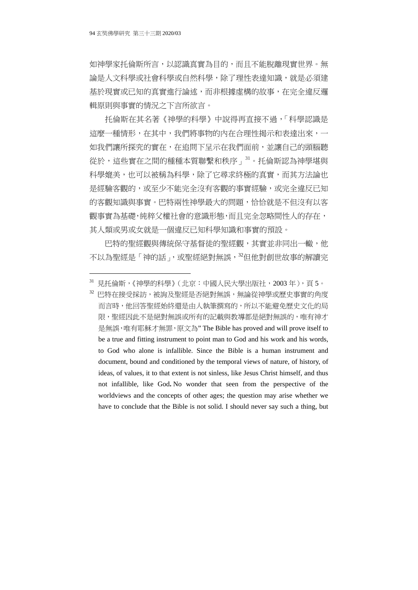如神學家托倫斯所言,以認識真實為目的,而且不能脫離現實世界。無 論是人文科學或社會科學或自然科學,除了理性表達知識,就是必須建 基於現實或已知的真實進行論述,而非根據虛構的故事,在完全違反邏 輯原則與事實的情況之下言所欲言。

托倫斯在其名著《神學的科學》中說得再直接不過,「科學認識是 這麼一種情形,在其中,我們將事物的內在合理性揭示和表達出來,一 如我們讓所探究的實在,在追問下呈示在我們面前,並讓自己的頭腦聽 從於,這些實在之間的種種本質聯繫和秩序」<sup>31</sup>。托倫斯認為神學堪與 科學媲美,也可以被稱為科學,除了它尋求終極的真實,而其方法論也 是經驗客觀的,或至少不能完全沒有客觀的事實經驗,或完全違反已知 的客觀知識與事實。巴特兩性神學最大的問題,恰恰就是不但沒有以客 觀事實為基礎,純粹父權社會的意識形態,而且完全忽略間性人的存在, 其人類或男或女就是一個違反已知科學知識和事實的預設。

巴特的聖經觀與傳統保守基督徒的聖經觀,其實並非同出一轍,他 不以為聖經是「神的話」,或聖經絕對無誤,<sup>32</sup>但他對創世故事的解讀完

<sup>31</sup> 見托倫斯,《神學的科學》(北京:中國人民大學出版社,2003 年),頁 5。

<sup>32</sup> 巴特在接受採訪,被詢及聖經是否絕對無誤,無論從神學或歷史事實的角度 而言時,他回答聖經始終還是由人執筆撰寫的,所以不能避免歷史文化的局 限,聖經因此不是絕對無誤或所有的記載與教導都是絕對無誤的,唯有神才 是無誤,唯有耶穌才無罪,原文為" The Bible has proved and will prove itself to be a true and fitting instrument to point man to God and his work and his words, to God who alone is infallible. Since the Bible is a human instrument and document, bound and conditioned by the temporal views of nature, of history, of ideas, of values, it to that extent is not sinless, like Jesus Christ himself, and thus not infallible, like God**.** No wonder that seen from the perspective of the worldviews and the concepts of other ages; the question may arise whether we have to conclude that the Bible is not solid. I should never say such a thing, but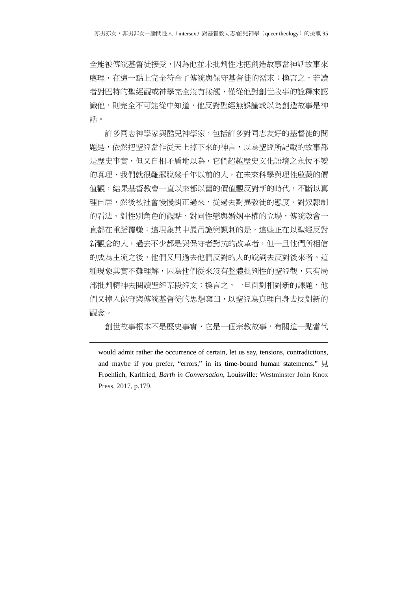全能被傳統基督徒接受,因為他並未批判性地把創造故事當神話故事來 處理,在這一點上完全符合了傳統與保守基督徒的需求;換言之,若讀 者對巴特的聖經觀或神學完全沒有接觸,僅從他對創世故事的詮釋來認 識他,則完全不可能從中知道,他反對聖經無誤論或以為創造故事是神 話。

許多同志神學家與酷兒神學家,包括許多對同志友好的基督徒的問 題是,依然把聖經當作從天上掉下來的神言,以為聖經所記載的故事都 是歷史事實,但又自相矛盾地以為,它們超越歷史文化語境之永恆不變 的真理,我們就很難擺脫幾千年以前的人,在未來科學與理性啟蒙的價 值觀,結果基督教會一直以來都以舊的價值觀反對新的時代,不斷以真 理自居,然後被社會慢慢糾正過來,從過去對異教徒的態度、對奴隸制 的看法、對性別角色的觀點、對同性戀與婚姻平權的立場,傳統教會一 直都在重蹈覆轍;這現象其中最吊詭與諷刺的是,這些正在以聖經反對 新觀念的人,過去不少都是與保守者對抗的改革者,但一旦他們所相信 的成為主流之後,他們又用過去他們反對的人的說詞去反對後來者。這 種現象其實不難理解,因為他們從來沒有整體批判性的聖經觀,只有局 部批判精神去閱讀聖經某段經文;換言之,一旦面對相對新的課題,他 們又掉入保守與傳統基督徒的思想窠臼,以聖經為真理自身去反對新的 觀念。

創世故事根本不是歷史事實,它是一個宗教故事,有關這一點當代

-

would admit rather the occurrence of certain, let us say, tensions, contradictions, and maybe if you prefer, "errors," in its time-bound human statements." 見 Froehlich, Karlfried, *Barth in Conversation*, Louisville: Westminster John Knox Press, 2017, p.179.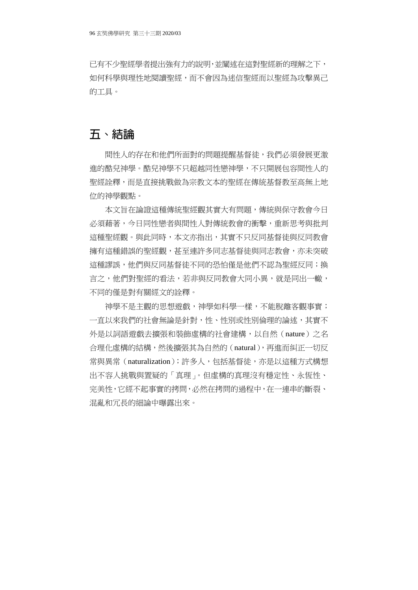已有不少聖經學者提出強有力的說明,並闡述在這對聖經新的理解之下, 如何科學與理性地閱讀聖經,而不會因為迷信聖經而以聖經為攻擊異己 的工具。

## **五、結論**

間性人的存在和他們所面對的問題提醒基督徒,我們必須發展更激 進的酷兒神學。酷兒神學不只超越同性戀神學,不只開展包容間性人的 聖經詮釋,而是直接挑戰做為宗教文本的聖經在傳統基督教至高無上地 位的神學觀點。

本文旨在論證這種傳統聖經觀其實大有問題,傳統與保守教會今日 必須藉著,今日同性戀者與間性人對傳統教會的衝擊,重新思考與批判 這種聖經觀。與此同時,本文亦指出,其實不只反同基督徒與反同教會 擁有這種錯誤的聖經觀,甚至連許多同志基督徒與同志教會,亦未突破 這種謬誤,他們與反同基督徒不同的恐怕僅是他們不認為聖經反同;換 言之,他們對聖經的看法,若非與反同教會大同小異,就是同出一轍, 不同的僅是對有關經文的詮釋。

神學不是主觀的思想遊戲,神學如科學一樣,不能脫離客觀事實; 一直以來我們的社會無論是針對,性、性別或性別倫理的論述,其實不 外是以詞語遊戲去擴張和裝飾虛構的社會建構,以自然(nature)之名 合理化虛構的結構,然後擴張其為自然的(natural),再進而糾正一切反 常與異常(naturalization); 許多人, 包括基督徒, 亦是以這種方式構想 出不容人挑戰與置疑的「真理」。但虛構的真理沒有穩定性、永恆性、 完美性,它經不起事實的拷問,必然在拷問的過程中,在一連串的斷裂、 混亂和冗長的細論中曝露出來。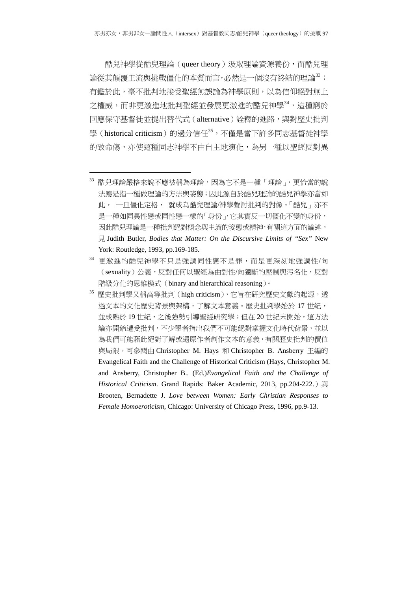酷兒神學從酷兒理論(queer theory)汲取理論資源養份,而酷兒理 論從其顛覆主流與挑戰僵化的本質而言,必然是一個沒有終結的理論<sup>33</sup>; 有鑑於此,毫不批判地接受聖經無誤論為神學原則,以為信仰絕對無上 之權威,而非更激進地批判聖經並發展更激進的酷兒神學<sup>34</sup>,這種窮於 回應保守基督徒並提出替代式(alternative)詮釋的進路,與對歷史批判 學(historical criticism)的過分信任35,不僅是當下許多同志基督徒神學 的致命傷,亦使這種同志神學不由自主地演化,為另一種以聖經反對異

-

<sup>33</sup> 酷兒理論嚴格來說不應被稱為理論,因為它不是一種「理論」,更恰當的說 法應是指一種做理論的方法與姿態;因此源自於酷兒理論的酷兒神學亦當如 此, 一旦僵化定格, 就成為酷兒理論/神學聲討批判的對像。「酷兒」亦不 是一種如同異性戀或同性戀一樣的「身份」,它其實反一切僵化不變的身份, 因此酷兒理論是一種批判絕對概念與主流的姿態或精神,有關這方面的論述, 見 Judith Butler, *Bodies that Matter: On the Discursive Limits of "Sex"* New York: Routledge, 1993, pp.169-185.

<sup>34</sup> 更激進的酷兒神學不只是強調同性戀不是罪,而是更深刻地強調性/向 (sexuality)公義,反對任何以聖經為由對性/向獨斷的壓制與污名化,反對 階級分化的思維模式(binary and hierarchical reasoning)。

<sup>35</sup> 歷史批判學又稱高等批判 (high criticism), 它旨在研究歷史文獻的起源,透 過文本的文化歷史背景與架構,了解文本意義。歷史批判學始於 17 世紀, 並成熟於 19世紀,之後強勢引導聖經研究學;但在 20世紀末開始,這方法 論亦開始遭受批判,不少學者指出我們不可能絕對掌握文化時代背景,並以 為我們可能藉此絕對了解或還原作者創作文本的意義,有關歷史批判的價值 與局限,可參閱由 Christopher M. Hays 和 Christopher B. Ansberry 主編的 Evangelical Faith and the Challenge of Historical Criticism (Hays, Christopher M. and Ansberry, Christopher B.. (Ed.)*Evangelical Faith and the Challenge of Historical Criticism*. Grand Rapids: Baker Academic, 2013, pp.204-222.)與 Brooten, Bernadette J. *Love between Women: Early Christian Responses to Female Homoeroticism*, Chicago: University of Chicago Press, 1996, pp.9-13.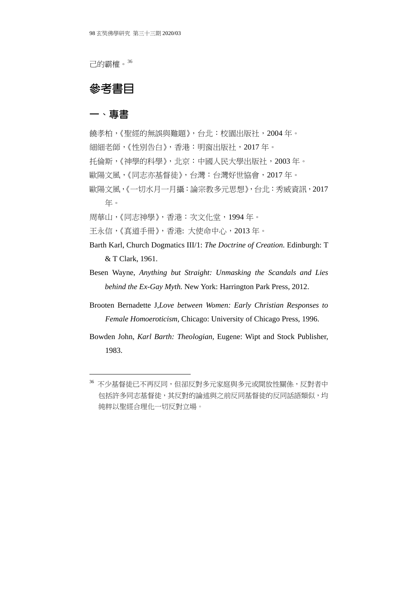己的霸權。36

### **參考書目**

#### 一、專書

-

饒孝柏,《聖經的無誤與難題》,台北:校園出版社,2004 年。 細細老師,《性別告白》,香港:明窗出版社,2017 年。 托倫斯,《神學的科學》,北京:中國人民大學出版社,2003 年。 歐陽文風,《同志亦基督徒》,台灣:台灣好世協會,2017年。 歐陽文風,《一切水月一月攝:論宗教多元思想》,台北:秀威資訊,2017 年。 周華山,《同志神學》,香港:次文化堂,1994 年。

王永信,《真道手冊》,香港: 大使命中心,2013 年。

- Barth Karl, Church Dogmatics III/1: *The Doctrine of Creation.* Edinburgh: T & T Clark, 1961.
- Besen Wayne, *Anything but Straight: Unmasking the Scandals and Lies behind the Ex-Gay Myth.* New York: Harrington Park Press, 2012.
- Brooten Bernadette J,*Love between Women: Early Christian Responses to Female Homoeroticism,* Chicago: University of Chicago Press, 1996.
- Bowden John, *Karl Barth: Theologian,* Eugene: Wipt and Stock Publisher, 1983.

<sup>36</sup> 不少基督徒已不再反同,但卻反對多元家庭與多元或開放性關係,反對者中 包括許多同志基督徒,其反對的論述與之前反同基督徒的反同話語類似,均 純粹以聖經合理化一切反對立場。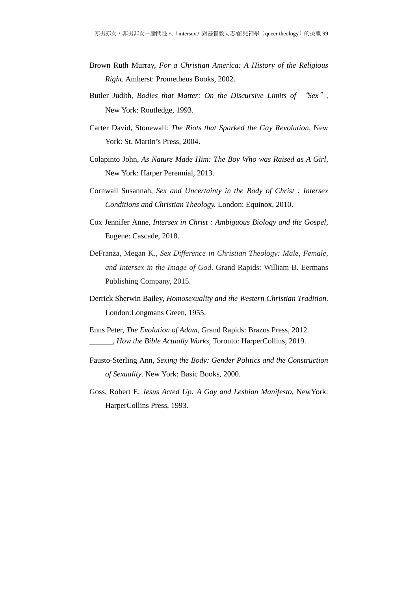- Brown Ruth Murray, *For a Christian America: A History of the Religious Right.* Amherst: Prometheus Books, 2002.
- Butler Judith, *Bodies that Matter: On the Discursive Limits of* "*Sex*", New York: Routledge, 1993.
- Carter David, Stonewall: *The Riots that Sparked the Gay Revolution*, New York: St. Martin's Press, 2004.
- Colapinto John, *As Nature Made Him: The Boy Who was Raised as A Girl*, New York: Harper Perennial, 2013.
- Cornwall Susannah, *Sex and Uncertainty in the Body of Christ : Intersex Conditions and Christian Theology.* London: Equinox, 2010.
- Cox Jennifer Anne, *Intersex in Christ : Ambiguous Biology and the Gospel*, Eugene: Cascade, 2018.
- DeFranza, Megan K., *Sex Difference in Christian Theology: Male, Female, and Intersex in the Image of God*. Grand Rapids: William B. Eermans Publishing Company, 2015.
- Derrick Sherwin Bailey, *Homosexuality and the Western Christian Tradition*. London:Longmans Green, 1955.
- Enns Peter, *The Evolution of Adam*, Grand Rapids: Brazos Press, 2012. \_\_\_\_\_\_, *How the Bible Actually Works*, Toronto: HarperCollins, 2019.
- Fausto-Sterling Ann, *Sexing the Body: Gender Politics and the Construction of Sexuality*. New York: Basic Books, 2000.
- Goss, Robert E. *Jesus Acted Up: A Gay and Lesbian Manifesto*, NewYork: HarperCollins Press, 1993.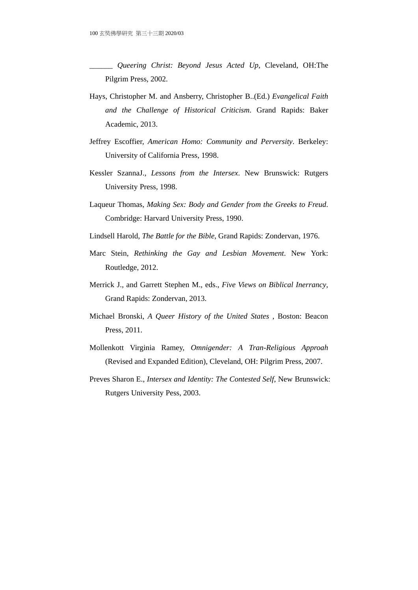\_\_\_\_\_\_ *Queering Christ: Beyond Jesus Acted Up*, Cleveland, OH:The Pilgrim Press, 2002.

- Hays, Christopher M. and Ansberry, Christopher B..(Ed.) *Evangelical Faith and the Challenge of Historical Criticism*. Grand Rapids: Baker Academic, 2013.
- Jeffrey Escoffier, *American Homo: Community and Perversity*. Berkeley: University of California Press, 1998.
- Kessler SzannaJ., *Lessons from the Intersex*. New Brunswick: Rutgers University Press, 1998.
- Laqueur Thomas, *Making Sex: Body and Gender from the Greeks to Freud*. Combridge: Harvard University Press, 1990.
- Lindsell Harold, *The Battle for the Bible*, Grand Rapids: Zondervan, 1976.
- Marc Stein, *Rethinking the Gay and Lesbian Movement*. New York: Routledge, 2012.
- Merrick J., and Garrett Stephen M., eds., *Five Views on Biblical Inerrancy*, Grand Rapids: Zondervan, 2013.
- Michael Bronski, *A Queer History of the United States* , Boston: Beacon Press, 2011.
- Mollenkott Virginia Ramey, *Omnigender: A Tran-Religious Approah* (Revised and Expanded Edition), Cleveland, OH: Pilgrim Press, 2007.
- Preves Sharon E., *Intersex and Identity: The Contested Self*, New Brunswick: Rutgers University Pess, 2003.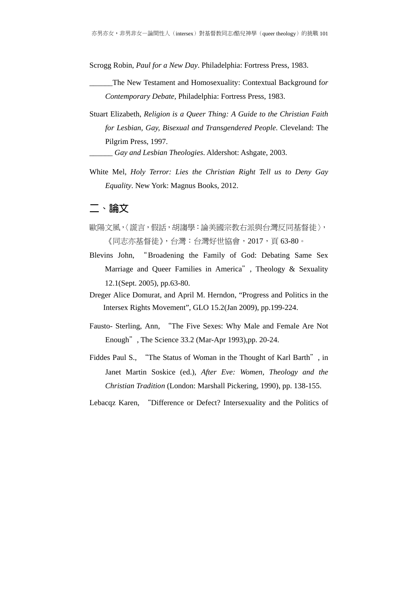Scrogg Robin, *Paul for a New Day*. Philadelphia: Fortress Press, 1983.

- \_\_\_\_\_\_The New Testament and Homosexuality: Contextual Background f*or Contemporary Debate,* Philadelphia: Fortress Press, 1983.
- Stuart Elizabeth, *Religion is a Queer Thing: A Guide to the Christian Faith for Lesbian, Gay, Bisexual and Transgendered People*. Cleveland: The Pilgrim Press, 1997.

\_\_\_\_\_\_ *Gay and Lesbian Theologies*. Aldershot: Ashgate, 2003.

White Mel, *Holy Terror: Lies the Christian Right Tell us to Deny Gay Equality*. New York: Magnus Books, 2012.

#### 二、論文

- 歐陽文風,〈謊言,假話,胡謅學:論美國宗教右派與台灣反同基督徒〉, 《同志亦基督徒》,台灣:台灣好世協會,2017,頁 63-80。
- Blevins John, "Broadening the Family of God: Debating Same Sex Marriage and Queer Families in America", Theology & Sexuality 12.1(Sept. 2005), pp.63-80.
- Dreger Alice Domurat, and April M. Herndon, "Progress and Politics in the Intersex Rights Movement", GLO 15.2(Jan 2009), pp.199-224.
- Fausto- Sterling, Ann, "The Five Sexes: Why Male and Female Are Not Enough", The Science 33.2 (Mar-Apr 1993),pp. 20-24.
- Fiddes Paul S., "The Status of Woman in the Thought of Karl Barth", in Janet Martin Soskice (ed.), *After Eve: Women, Theology and the Christian Tradition* (London: Marshall Pickering, 1990), pp. 138-155.

Lebacqz Karen, "Difference or Defect? Intersexuality and the Politics of